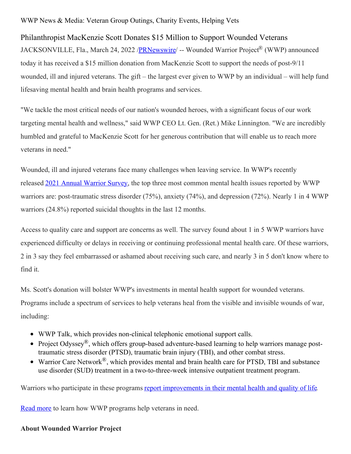WWP News & Media: Veteran Group Outings, Charity Events, Helping Vets

Philanthropist MacKenzie Scott Donates \$15 Million to Support Wounded Veterans JACKSONVILLE, Fla., March 24, 2022 [/PRNewswire](http://www.prnewswire.com/)/ -- Wounded Warrior Project® (WWP) announced today it has received a \$15 million donation from MacKenzie Scott to support the needs of post-9/11 wounded, ill and injured veterans. The gift – the largest ever given to WWP by an individual – will help fund lifesaving mental health and brain health programs and services.

"We tackle the most critical needs of our nation's wounded heroes, with a significant focus of our work targeting mental health and wellness," said WWP CEO Lt. Gen. (Ret.) Mike Linnington. "We are incredibly humbled and grateful to MacKenzie Scott for her generous contribution that will enable us to reach more veterans in need."

Wounded, ill and injured veterans face many challenges when leaving service. In WWP's recently released 2021 Annual [Warrior](https://c212.net/c/link/?t=0&l=en&o=3482831-1&h=3540326580&u=https%3A%2F%2Fc212.net%2Fc%2Flink%2F%3Ft%3D0%26l%3Den%26o%3D3477580-1%26h%3D2787516046%26u%3Dhttps%253A%252F%252Fwww.woundedwarriorproject.org%252Fmission%252Fannual-warrior-survey%253Futm_source%253Daws2021_media%2526utm_medium%253Dreferral%2526utm_campaign%253DAWS2021%26a%3D2021%2BAnnual%2BWarrior%2BSurvey&a=2021+Annual+Warrior+Survey) Survey, the top three most common mental health issues reported by WWP warriors are: post-traumatic stress disorder (75%), anxiety (74%), and depression (72%). Nearly 1 in 4 WWP warriors (24.8%) reported suicidal thoughts in the last 12 months.

Access to quality care and support are concerns as well. The survey found about 1 in 5 WWP warriors have experienced difficulty or delays in receiving or continuing professional mental health care. Of these warriors, 2 in 3 say they feel embarrassed or ashamed about receiving such care, and nearly 3 in 5 don't know where to find it.

Ms. Scott's donation will bolster WWP's investments in mental health support for wounded veterans. Programs include a spectrum of services to help veterans heal from the visible and invisible wounds of war, including:

- WWP Talk, which provides non-clinical telephonic emotional support calls.
- Proiect Odyssev<sup>®</sup>, which offers group-based adventure-based learning to help warriors manage posttraumatic stress disorder (PTSD), traumatic brain injury (TBI), and other combat stress.
- Warrior Care Network<sup>®</sup>, which provides mental and brain health care for PTSD, TBI and substance use disorder (SUD) treatment in a two-to-three-week intensive outpatient treatment program.

Warriors who participate in these programs report [improvements](https://c212.net/c/link/?t=0&l=en&o=3482831-1&h=3937274727&u=https%3A%2F%2Fnewsroom.woundedwarriorproject.org%2FWarrior-Care-Network-Brings-Light-and-New-Life-to-Veterans&a=report+improvements+in+their+mental+health+and+quality+of+life) in their mental health and quality of life.

Read [more](https://c212.net/c/link/?t=0&l=en&o=3482831-1&h=1513577663&u=https%3A%2F%2Fwww.woundedwarriorproject.org%2Fprograms&a=Read+more) to learn how WWP programs help veterans in need.

## **About Wounded Warrior Project**